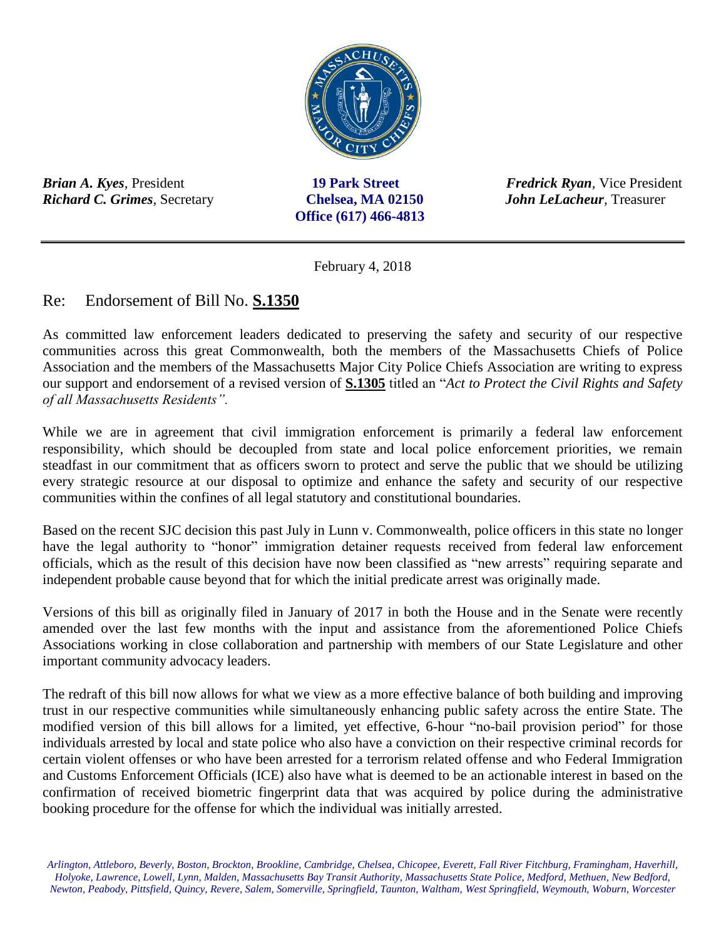

*Richard C. Grimes,* Secretary**Chelsea, MA 02150** *John LeLacheur,* Treasurer

**Office (617) 466-4813**

*Brian A. Kyes,* President**19 Park Street** *Fredrick Ryan,* Vice President

February 4, 2018

## Re: Endorsement of Bill No. **S.1350**

As committed law enforcement leaders dedicated to preserving the safety and security of our respective communities across this great Commonwealth, both the members of the Massachusetts Chiefs of Police Association and the members of the Massachusetts Major City Police Chiefs Association are writing to express our support and endorsement of a revised version of **S.1305** titled an "*Act to Protect the Civil Rights and Safety of all Massachusetts Residents".*

While we are in agreement that civil immigration enforcement is primarily a federal law enforcement responsibility, which should be decoupled from state and local police enforcement priorities, we remain steadfast in our commitment that as officers sworn to protect and serve the public that we should be utilizing every strategic resource at our disposal to optimize and enhance the safety and security of our respective communities within the confines of all legal statutory and constitutional boundaries.

Based on the recent SJC decision this past July in Lunn v. Commonwealth, police officers in this state no longer have the legal authority to "honor" immigration detainer requests received from federal law enforcement officials, which as the result of this decision have now been classified as "new arrests" requiring separate and independent probable cause beyond that for which the initial predicate arrest was originally made.

Versions of this bill as originally filed in January of 2017 in both the House and in the Senate were recently amended over the last few months with the input and assistance from the aforementioned Police Chiefs Associations working in close collaboration and partnership with members of our State Legislature and other important community advocacy leaders.

The redraft of this bill now allows for what we view as a more effective balance of both building and improving trust in our respective communities while simultaneously enhancing public safety across the entire State. The modified version of this bill allows for a limited, yet effective, 6-hour "no-bail provision period" for those individuals arrested by local and state police who also have a conviction on their respective criminal records for certain violent offenses or who have been arrested for a terrorism related offense and who Federal Immigration and Customs Enforcement Officials (ICE) also have what is deemed to be an actionable interest in based on the confirmation of received biometric fingerprint data that was acquired by police during the administrative booking procedure for the offense for which the individual was initially arrested.